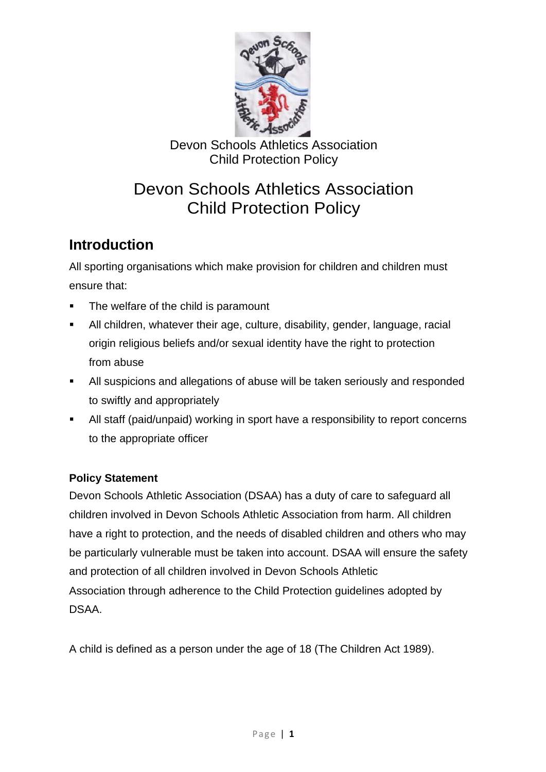

# Devon Schools Athletics Association Child Protection Policy

## **Introduction**

All sporting organisations which make provision for children and children must ensure that:

- The welfare of the child is paramount
- All children, whatever their age, culture, disability, gender, language, racial origin religious beliefs and/or sexual identity have the right to protection from abuse
- All suspicions and allegations of abuse will be taken seriously and responded to swiftly and appropriately
- All staff (paid/unpaid) working in sport have a responsibility to report concerns to the appropriate officer

#### **Policy Statement**

Devon Schools Athletic Association (DSAA) has a duty of care to safeguard all children involved in Devon Schools Athletic Association from harm. All children have a right to protection, and the needs of disabled children and others who may be particularly vulnerable must be taken into account. DSAA will ensure the safety and protection of all children involved in Devon Schools Athletic Association through adherence to the Child Protection guidelines adopted by DSAA.

A child is defined as a person under the age of 18 (The Children Act 1989).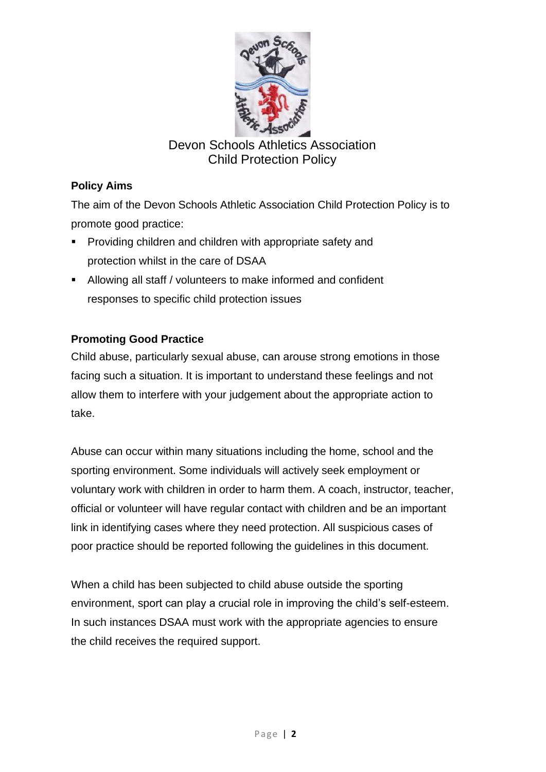

#### **Policy Aims**

The aim of the Devon Schools Athletic Association Child Protection Policy is to promote good practice:

- Providing children and children with appropriate safety and protection whilst in the care of DSAA
- Allowing all staff / volunteers to make informed and confident responses to specific child protection issues

#### **Promoting Good Practice**

Child abuse, particularly sexual abuse, can arouse strong emotions in those facing such a situation. It is important to understand these feelings and not allow them to interfere with your judgement about the appropriate action to take.

Abuse can occur within many situations including the home, school and the sporting environment. Some individuals will actively seek employment or voluntary work with children in order to harm them. A coach, instructor, teacher, official or volunteer will have regular contact with children and be an important link in identifying cases where they need protection. All suspicious cases of poor practice should be reported following the guidelines in this document.

When a child has been subjected to child abuse outside the sporting environment, sport can play a crucial role in improving the child's self-esteem. In such instances DSAA must work with the appropriate agencies to ensure the child receives the required support.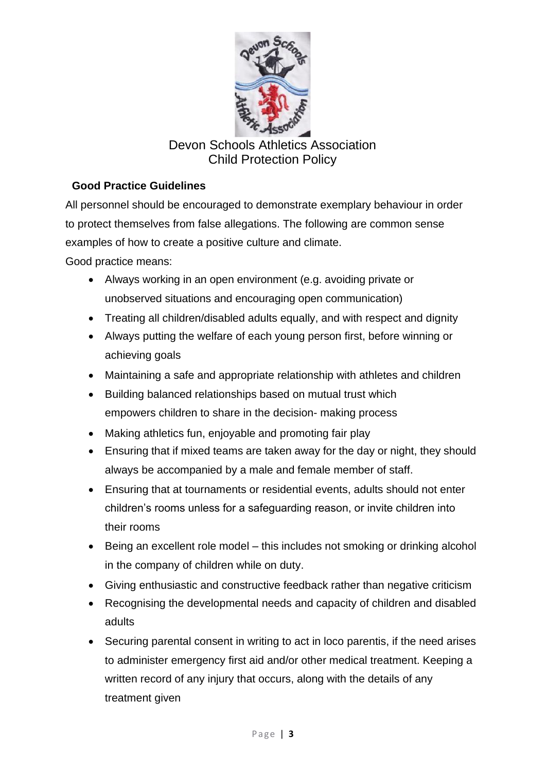

#### **Good Practice Guidelines**

All personnel should be encouraged to demonstrate exemplary behaviour in order to protect themselves from false allegations. The following are common sense examples of how to create a positive culture and climate.

Good practice means:

- Always working in an open environment (e.g. avoiding private or unobserved situations and encouraging open communication)
- Treating all children/disabled adults equally, and with respect and dignity
- Always putting the welfare of each young person first, before winning or achieving goals
- Maintaining a safe and appropriate relationship with athletes and children
- Building balanced relationships based on mutual trust which empowers children to share in the decision- making process
- Making athletics fun, enjoyable and promoting fair play
- Ensuring that if mixed teams are taken away for the day or night, they should always be accompanied by a male and female member of staff.
- Ensuring that at tournaments or residential events, adults should not enter children's rooms unless for a safeguarding reason, or invite children into their rooms
- Being an excellent role model this includes not smoking or drinking alcohol in the company of children while on duty.
- Giving enthusiastic and constructive feedback rather than negative criticism
- Recognising the developmental needs and capacity of children and disabled adults
- Securing parental consent in writing to act in loco parentis, if the need arises to administer emergency first aid and/or other medical treatment. Keeping a written record of any injury that occurs, along with the details of any treatment given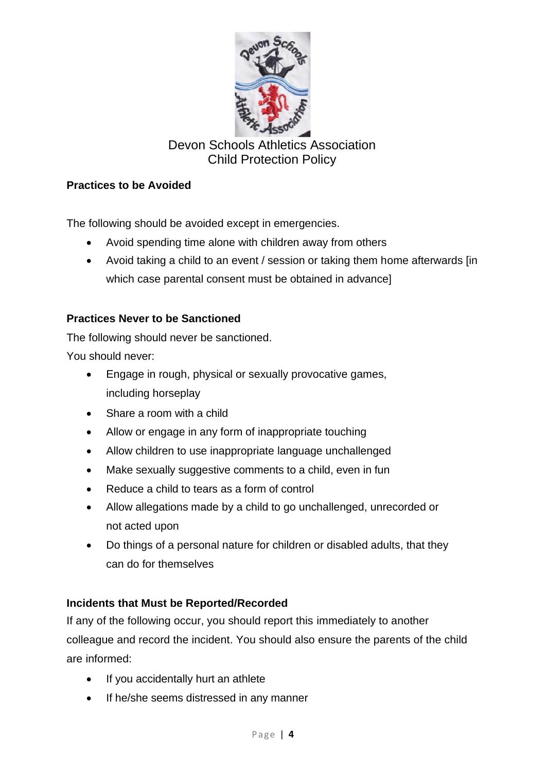

#### **Practices to be Avoided**

The following should be avoided except in emergencies.

- Avoid spending time alone with children away from others
- Avoid taking a child to an event / session or taking them home afterwards [in which case parental consent must be obtained in advance]

#### **Practices Never to be Sanctioned**

The following should never be sanctioned.

You should never:

- Engage in rough, physical or sexually provocative games, including horseplay
- Share a room with a child
- Allow or engage in any form of inappropriate touching
- Allow children to use inappropriate language unchallenged
- Make sexually suggestive comments to a child, even in fun
- Reduce a child to tears as a form of control
- Allow allegations made by a child to go unchallenged, unrecorded or not acted upon
- Do things of a personal nature for children or disabled adults, that they can do for themselves

#### **Incidents that Must be Reported/Recorded**

If any of the following occur, you should report this immediately to another colleague and record the incident. You should also ensure the parents of the child are informed:

- If you accidentally hurt an athlete
- If he/she seems distressed in any manner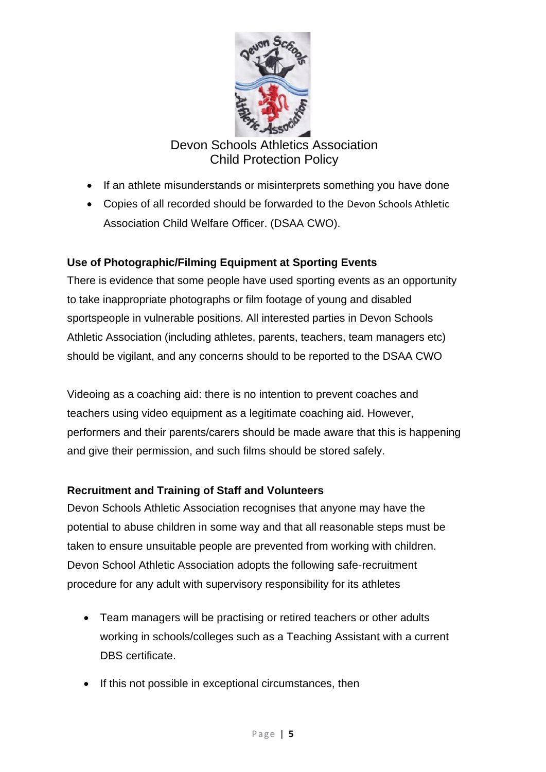

- If an athlete misunderstands or misinterprets something you have done
- Copies of all recorded should be forwarded to the Devon Schools Athletic Association Child Welfare Officer. (DSAA CWO).

#### **Use of Photographic/Filming Equipment at Sporting Events**

There is evidence that some people have used sporting events as an opportunity to take inappropriate photographs or film footage of young and disabled sportspeople in vulnerable positions. All interested parties in Devon Schools Athletic Association (including athletes, parents, teachers, team managers etc) should be vigilant, and any concerns should to be reported to the DSAA CWO

Videoing as a coaching aid: there is no intention to prevent coaches and teachers using video equipment as a legitimate coaching aid. However, performers and their parents/carers should be made aware that this is happening and give their permission, and such films should be stored safely.

#### **Recruitment and Training of Staff and Volunteers**

Devon Schools Athletic Association recognises that anyone may have the potential to abuse children in some way and that all reasonable steps must be taken to ensure unsuitable people are prevented from working with children. Devon School Athletic Association adopts the following safe-recruitment procedure for any adult with supervisory responsibility for its athletes

- Team managers will be practising or retired teachers or other adults working in schools/colleges such as a Teaching Assistant with a current DBS certificate.
- If this not possible in exceptional circumstances, then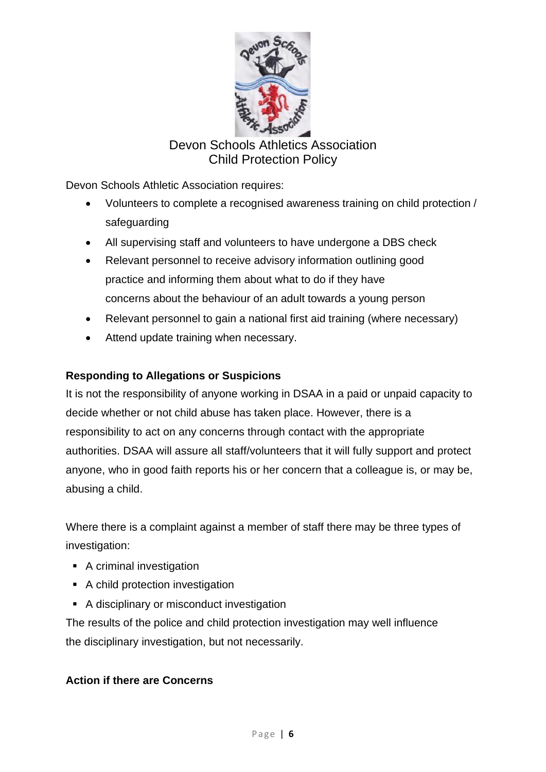

Devon Schools Athletic Association requires:

- Volunteers to complete a recognised awareness training on child protection / safeguarding
- All supervising staff and volunteers to have undergone a DBS check
- Relevant personnel to receive advisory information outlining good practice and informing them about what to do if they have concerns about the behaviour of an adult towards a young person
- Relevant personnel to gain a national first aid training (where necessary)
- Attend update training when necessary.

#### **Responding to Allegations or Suspicions**

It is not the responsibility of anyone working in DSAA in a paid or unpaid capacity to decide whether or not child abuse has taken place. However, there is a responsibility to act on any concerns through contact with the appropriate authorities. DSAA will assure all staff/volunteers that it will fully support and protect anyone, who in good faith reports his or her concern that a colleague is, or may be, abusing a child.

Where there is a complaint against a member of staff there may be three types of investigation:

- A criminal investigation
- A child protection investigation
- A disciplinary or misconduct investigation

The results of the police and child protection investigation may well influence the disciplinary investigation, but not necessarily.

#### **Action if there are Concerns**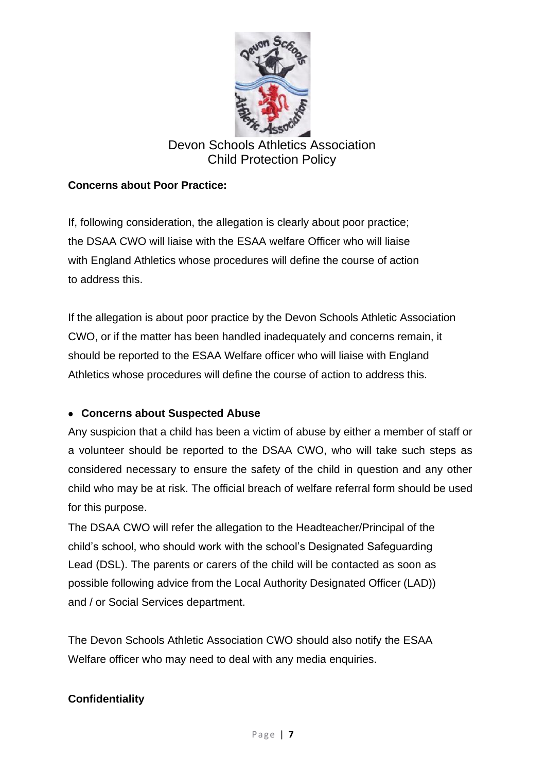

#### **Concerns about Poor Practice:**

If, following consideration, the allegation is clearly about poor practice; the DSAA CWO will liaise with the ESAA welfare Officer who will liaise with England Athletics whose procedures will define the course of action to address this.

If the allegation is about poor practice by the Devon Schools Athletic Association CWO, or if the matter has been handled inadequately and concerns remain, it should be reported to the ESAA Welfare officer who will liaise with England Athletics whose procedures will define the course of action to address this.

#### • **Concerns about Suspected Abuse**

Any suspicion that a child has been a victim of abuse by either a member of staff or a volunteer should be reported to the DSAA CWO, who will take such steps as considered necessary to ensure the safety of the child in question and any other child who may be at risk. The official breach of welfare referral form should be used for this purpose.

The DSAA CWO will refer the allegation to the Headteacher/Principal of the child's school, who should work with the school's Designated Safeguarding Lead (DSL). The parents or carers of the child will be contacted as soon as possible following advice from the Local Authority Designated Officer (LAD)) and / or Social Services department.

The Devon Schools Athletic Association CWO should also notify the ESAA Welfare officer who may need to deal with any media enquiries.

#### **Confidentiality**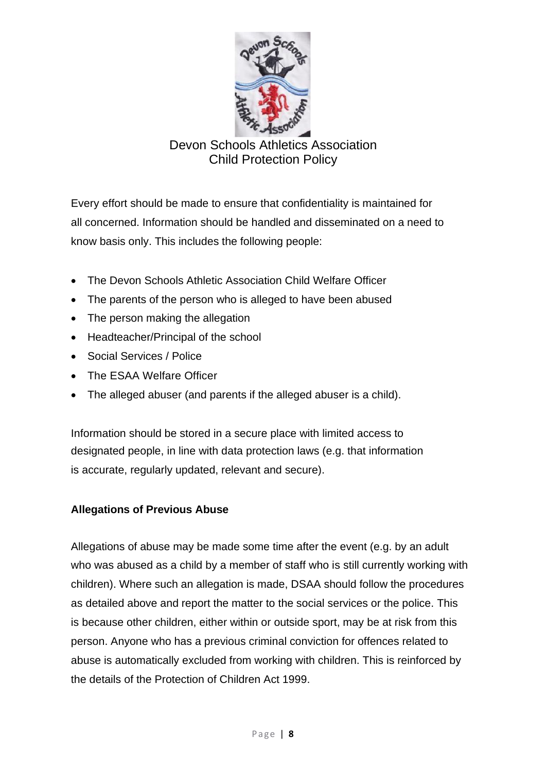

Every effort should be made to ensure that confidentiality is maintained for all concerned. Information should be handled and disseminated on a need to know basis only. This includes the following people:

- The Devon Schools Athletic Association Child Welfare Officer
- The parents of the person who is alleged to have been abused
- The person making the allegation
- Headteacher/Principal of the school
- Social Services / Police
- The ESAA Welfare Officer
- The alleged abuser (and parents if the alleged abuser is a child).

Information should be stored in a secure place with limited access to designated people, in line with data protection laws (e.g. that information is accurate, regularly updated, relevant and secure).

#### **Allegations of Previous Abuse**

Allegations of abuse may be made some time after the event (e.g. by an adult who was abused as a child by a member of staff who is still currently working with children). Where such an allegation is made, DSAA should follow the procedures as detailed above and report the matter to the social services or the police. This is because other children, either within or outside sport, may be at risk from this person. Anyone who has a previous criminal conviction for offences related to abuse is automatically excluded from working with children. This is reinforced by the details of the Protection of Children Act 1999.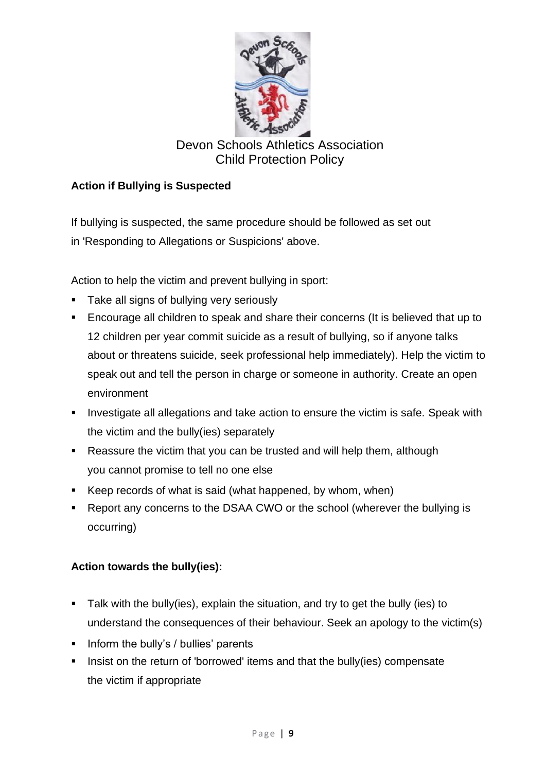

### **Action if Bullying is Suspected**

If bullying is suspected, the same procedure should be followed as set out in 'Responding to Allegations or Suspicions' above.

Action to help the victim and prevent bullying in sport:

- **EXEC** Take all signs of bullying very seriously
- Encourage all children to speak and share their concerns (It is believed that up to 12 children per year commit suicide as a result of bullying, so if anyone talks about or threatens suicide, seek professional help immediately). Help the victim to speak out and tell the person in charge or someone in authority. Create an open environment
- **EXTER** Investigate all allegations and take action to ensure the victim is safe. Speak with the victim and the bully(ies) separately
- Reassure the victim that you can be trusted and will help them, although you cannot promise to tell no one else
- Keep records of what is said (what happened, by whom, when)
- Report any concerns to the DSAA CWO or the school (wherever the bullying is occurring)

#### **Action towards the bully(ies):**

- Talk with the bully(ies), explain the situation, and try to get the bully (ies) to understand the consequences of their behaviour. Seek an apology to the victim(s)
- Inform the bully's / bullies' parents
- Insist on the return of 'borrowed' items and that the bully(ies) compensate the victim if appropriate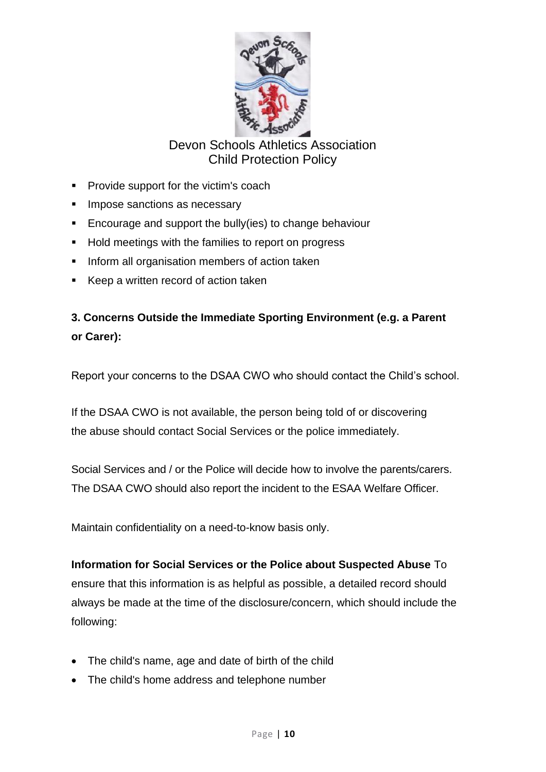

- Provide support for the victim's coach
- **EXEC** Impose sanctions as necessary
- Encourage and support the bully(ies) to change behaviour
- Hold meetings with the families to report on progress
- **.** Inform all organisation members of action taken
- Keep a written record of action taken

**3. Concerns Outside the Immediate Sporting Environment (e.g. a Parent or Carer):**

Report your concerns to the DSAA CWO who should contact the Child's school.

If the DSAA CWO is not available, the person being told of or discovering the abuse should contact Social Services or the police immediately.

Social Services and / or the Police will decide how to involve the parents/carers. The DSAA CWO should also report the incident to the ESAA Welfare Officer.

Maintain confidentiality on a need-to-know basis only.

**Information for Social Services or the Police about Suspected Abuse** To

ensure that this information is as helpful as possible, a detailed record should always be made at the time of the disclosure/concern, which should include the following:

- The child's name, age and date of birth of the child
- The child's home address and telephone number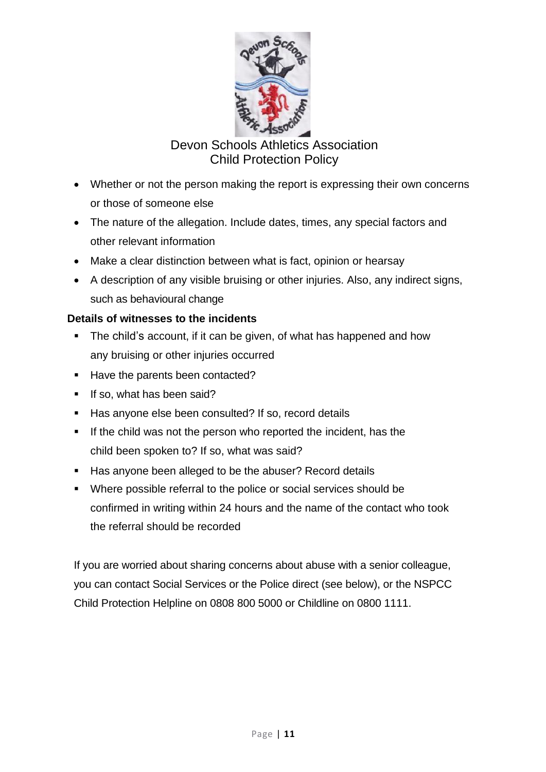

- Whether or not the person making the report is expressing their own concerns or those of someone else
- The nature of the allegation. Include dates, times, any special factors and other relevant information
- Make a clear distinction between what is fact, opinion or hearsay
- A description of any visible bruising or other injuries. Also, any indirect signs, such as behavioural change

#### **Details of witnesses to the incidents**

- **The child's account, if it can be given, of what has happened and how** any bruising or other injuries occurred
- Have the parents been contacted?
- **E** If so, what has been said?
- Has anyone else been consulted? If so, record details
- If the child was not the person who reported the incident, has the child been spoken to? If so, what was said?
- Has anyone been alleged to be the abuser? Record details
- Where possible referral to the police or social services should be confirmed in writing within 24 hours and the name of the contact who took the referral should be recorded

If you are worried about sharing concerns about abuse with a senior colleague, you can contact Social Services or the Police direct (see below), or the NSPCC Child Protection Helpline on 0808 800 5000 or Childline on 0800 1111.